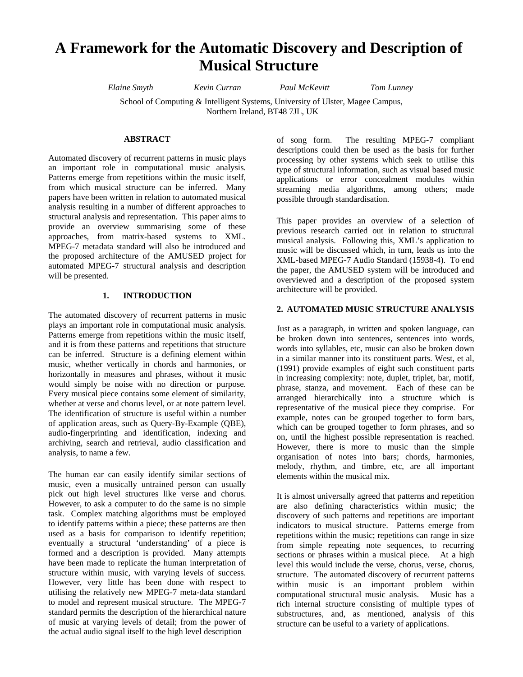# **A Framework for the Automatic Discovery and Description of Musical Structure**

*Elaine Smyth Kevin Curran Paul McKevitt Tom Lunney* 

School of Computing & Intelligent Systems, University of Ulster, Magee Campus, Northern Ireland, BT48 7JL, UK

#### **ABSTRACT**

Automated discovery of recurrent patterns in music plays an important role in computational music analysis. Patterns emerge from repetitions within the music itself, from which musical structure can be inferred. Many papers have been written in relation to automated musical analysis resulting in a number of different approaches to structural analysis and representation. This paper aims to provide an overview summarising some of these approaches, from matrix-based systems to XML. MPEG-7 metadata standard will also be introduced and the proposed architecture of the AMUSED project for automated MPEG-7 structural analysis and description will be presented.

# **1. INTRODUCTION**

The automated discovery of recurrent patterns in music plays an important role in computational music analysis. Patterns emerge from repetitions within the music itself, and it is from these patterns and repetitions that structure can be inferred. Structure is a defining element within music, whether vertically in chords and harmonies, or horizontally in measures and phrases, without it music would simply be noise with no direction or purpose. Every musical piece contains some element of similarity, whether at verse and chorus level, or at note pattern level. The identification of structure is useful within a number of application areas, such as Query-By-Example (QBE), audio-fingerprinting and identification, indexing and archiving, search and retrieval, audio classification and analysis, to name a few.

The human ear can easily identify similar sections of music, even a musically untrained person can usually pick out high level structures like verse and chorus. However, to ask a computer to do the same is no simple task. Complex matching algorithms must be employed to identify patterns within a piece; these patterns are then used as a basis for comparison to identify repetition; eventually a structural 'understanding' of a piece is formed and a description is provided. Many attempts have been made to replicate the human interpretation of structure within music, with varying levels of success. However, very little has been done with respect to utilising the relatively new MPEG-7 meta-data standard to model and represent musical structure. The MPEG-7 standard permits the description of the hierarchical nature of music at varying levels of detail; from the power of the actual audio signal itself to the high level description

of song form. The resulting MPEG-7 compliant descriptions could then be used as the basis for further processing by other systems which seek to utilise this type of structural information, such as visual based music applications or error concealment modules within streaming media algorithms, among others; made possible through standardisation.

This paper provides an overview of a selection of previous research carried out in relation to structural musical analysis. Following this, XML's application to music will be discussed which, in turn, leads us into the XML-based MPEG-7 Audio Standard (15938-4). To end the paper, the AMUSED system will be introduced and overviewed and a description of the proposed system architecture will be provided.

#### **2. AUTOMATED MUSIC STRUCTURE ANALYSIS**

Just as a paragraph, in written and spoken language, can be broken down into sentences, sentences into words, words into syllables, etc, music can also be broken down in a similar manner into its constituent parts. West, et al, (1991) provide examples of eight such constituent parts in increasing complexity: note, duplet, triplet, bar, motif, phrase, stanza, and movement. Each of these can be arranged hierarchically into a structure which is representative of the musical piece they comprise. For example, notes can be grouped together to form bars, which can be grouped together to form phrases, and so on, until the highest possible representation is reached. However, there is more to music than the simple organisation of notes into bars; chords, harmonies, melody, rhythm, and timbre, etc, are all important elements within the musical mix.

It is almost universally agreed that patterns and repetition are also defining characteristics within music; the discovery of such patterns and repetitions are important indicators to musical structure. Patterns emerge from repetitions within the music; repetitions can range in size from simple repeating note sequences, to recurring sections or phrases within a musical piece. At a high level this would include the verse, chorus, verse, chorus, structure. The automated discovery of recurrent patterns within music is an important problem within computational structural music analysis. Music has a rich internal structure consisting of multiple types of substructures, and, as mentioned, analysis of this structure can be useful to a variety of applications.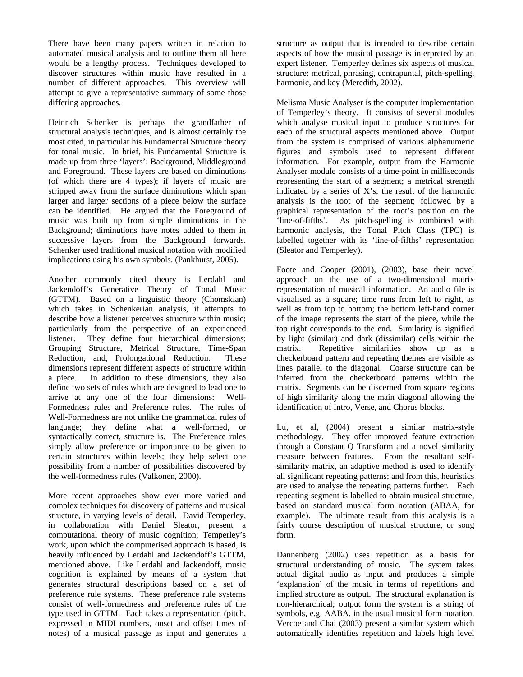There have been many papers written in relation to automated musical analysis and to outline them all here would be a lengthy process. Techniques developed to discover structures within music have resulted in a number of different approaches. This overview will attempt to give a representative summary of some those differing approaches.

Heinrich Schenker is perhaps the grandfather of structural analysis techniques, and is almost certainly the most cited, in particular his Fundamental Structure theory for tonal music. In brief, his Fundamental Structure is made up from three 'layers': Background, Middleground and Foreground. These layers are based on diminutions (of which there are 4 types); if layers of music are stripped away from the surface diminutions which span larger and larger sections of a piece below the surface can be identified. He argued that the Foreground of music was built up from simple diminutions in the Background; diminutions have notes added to them in successive layers from the Background forwards. Schenker used traditional musical notation with modified implications using his own symbols. (Pankhurst, 2005).

Another commonly cited theory is Lerdahl and Jackendoff's Generative Theory of Tonal Music (GTTM). Based on a linguistic theory (Chomskian) which takes in Schenkerian analysis, it attempts to describe how a listener perceives structure within music; particularly from the perspective of an experienced listener. They define four hierarchical dimensions: Grouping Structure, Metrical Structure, Time-Span Reduction, and, Prolongational Reduction. These dimensions represent different aspects of structure within a piece. In addition to these dimensions, they also define two sets of rules which are designed to lead one to arrive at any one of the four dimensions: Well-Formedness rules and Preference rules. The rules of Well-Formedness are not unlike the grammatical rules of language; they define what a well-formed, or syntactically correct, structure is. The Preference rules simply allow preference or importance to be given to certain structures within levels; they help select one possibility from a number of possibilities discovered by the well-formedness rules (Valkonen, 2000).

More recent approaches show ever more varied and complex techniques for discovery of patterns and musical structure, in varying levels of detail. David Temperley, in collaboration with Daniel Sleator, present a computational theory of music cognition; Temperley's work, upon which the computerised approach is based, is heavily influenced by Lerdahl and Jackendoff's GTTM, mentioned above. Like Lerdahl and Jackendoff, music cognition is explained by means of a system that generates structural descriptions based on a set of preference rule systems. These preference rule systems consist of well-formedness and preference rules of the type used in GTTM. Each takes a representation (pitch, expressed in MIDI numbers, onset and offset times of notes) of a musical passage as input and generates a

structure as output that is intended to describe certain aspects of how the musical passage is interpreted by an expert listener. Temperley defines six aspects of musical structure: metrical, phrasing, contrapuntal, pitch-spelling, harmonic, and key (Meredith, 2002).

Melisma Music Analyser is the computer implementation of Temperley's theory. It consists of several modules which analyse musical input to produce structures for each of the structural aspects mentioned above. Output from the system is comprised of various alphanumeric figures and symbols used to represent different information. For example, output from the Harmonic Analyser module consists of a time-point in milliseconds representing the start of a segment; a metrical strength indicated by a series of X's; the result of the harmonic analysis is the root of the segment; followed by a graphical representation of the root's position on the 'line-of-fifths'. As pitch-spelling is combined with harmonic analysis, the Tonal Pitch Class (TPC) is labelled together with its 'line-of-fifths' representation (Sleator and Temperley).

Foote and Cooper (2001), (2003), base their novel approach on the use of a two-dimensional matrix representation of musical information. An audio file is visualised as a square; time runs from left to right, as well as from top to bottom; the bottom left-hand corner of the image represents the start of the piece, while the top right corresponds to the end. Similarity is signified by light (similar) and dark (dissimilar) cells within the matrix. Repetitive similarities show up as a checkerboard pattern and repeating themes are visible as lines parallel to the diagonal. Coarse structure can be inferred from the checkerboard patterns within the matrix. Segments can be discerned from square regions of high similarity along the main diagonal allowing the identification of Intro, Verse, and Chorus blocks.

Lu, et al, (2004) present a similar matrix-style methodology. They offer improved feature extraction through a Constant Q Transform and a novel similarity measure between features. From the resultant selfsimilarity matrix, an adaptive method is used to identify all significant repeating patterns; and from this, heuristics are used to analyse the repeating patterns further. Each repeating segment is labelled to obtain musical structure, based on standard musical form notation (ABAA, for example). The ultimate result from this analysis is a fairly course description of musical structure, or song form.

Dannenberg (2002) uses repetition as a basis for structural understanding of music. The system takes actual digital audio as input and produces a simple 'explanation' of the music in terms of repetitions and implied structure as output. The structural explanation is non-hierarchical; output form the system is a string of symbols, e.g. AABA, in the usual musical form notation. Vercoe and Chai (2003) present a similar system which automatically identifies repetition and labels high level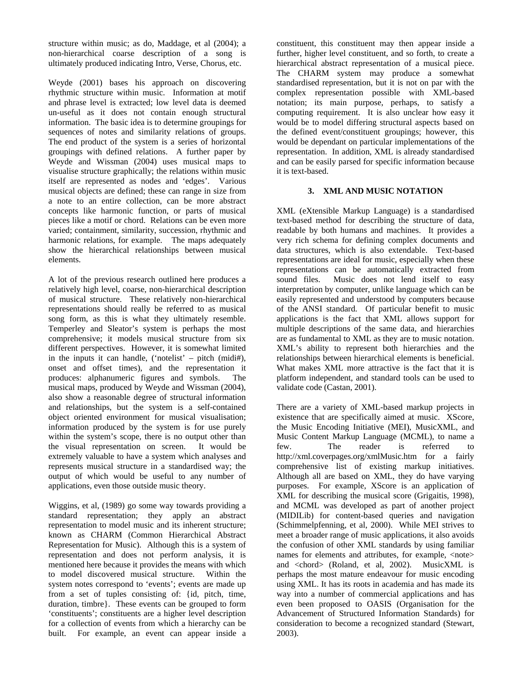structure within music; as do, Maddage, et al (2004); a non-hierarchical coarse description of a song is ultimately produced indicating Intro, Verse, Chorus, etc.

Weyde (2001) bases his approach on discovering rhythmic structure within music. Information at motif and phrase level is extracted; low level data is deemed un-useful as it does not contain enough structural information. The basic idea is to determine groupings for sequences of notes and similarity relations of groups. The end product of the system is a series of horizontal groupings with defined relations. A further paper by Weyde and Wissman (2004) uses musical maps to visualise structure graphically; the relations within music itself are represented as nodes and 'edges'. Various musical objects are defined; these can range in size from a note to an entire collection, can be more abstract concepts like harmonic function, or parts of musical pieces like a motif or chord. Relations can be even more varied; containment, similarity, succession, rhythmic and harmonic relations, for example. The maps adequately show the hierarchical relationships between musical elements.

A lot of the previous research outlined here produces a relatively high level, coarse, non-hierarchical description of musical structure. These relatively non-hierarchical representations should really be referred to as musical song form, as this is what they ultimately resemble. Temperley and Sleator's system is perhaps the most comprehensive; it models musical structure from six different perspectives. However, it is somewhat limited in the inputs it can handle, ('notelist' – pitch (midi#), onset and offset times), and the representation it produces: alphanumeric figures and symbols. The musical maps, produced by Weyde and Wissman (2004), also show a reasonable degree of structural information and relationships, but the system is a self-contained object oriented environment for musical visualisation; information produced by the system is for use purely within the system's scope, there is no output other than the visual representation on screen. It would be extremely valuable to have a system which analyses and represents musical structure in a standardised way; the output of which would be useful to any number of applications, even those outside music theory.

Wiggins, et al, (1989) go some way towards providing a standard representation; they apply an abstract representation to model music and its inherent structure; known as CHARM (Common Hierarchical Abstract Representation for Music). Although this is a system of representation and does not perform analysis, it is mentioned here because it provides the means with which to model discovered musical structure. Within the system notes correspond to 'events'; events are made up from a set of tuples consisting of: {id, pitch, time, duration, timbre}. These events can be grouped to form 'constituents'; constituents are a higher level description for a collection of events from which a hierarchy can be built. For example, an event can appear inside a

constituent, this constituent may then appear inside a further, higher level constituent, and so forth, to create a hierarchical abstract representation of a musical piece. The CHARM system may produce a somewhat standardised representation, but it is not on par with the complex representation possible with XML-based notation; its main purpose, perhaps, to satisfy a computing requirement. It is also unclear how easy it would be to model differing structural aspects based on the defined event/constituent groupings; however, this would be dependant on particular implementations of the representation. In addition, XML is already standardised and can be easily parsed for specific information because it is text-based.

## **3. XML AND MUSIC NOTATION**

XML (eXtensible Markup Language) is a standardised text-based method for describing the structure of data, readable by both humans and machines. It provides a very rich schema for defining complex documents and data structures, which is also extendable. Text-based representations are ideal for music, especially when these representations can be automatically extracted from sound files. Music does not lend itself to easy interpretation by computer, unlike language which can be easily represented and understood by computers because of the ANSI standard. Of particular benefit to music applications is the fact that XML allows support for multiple descriptions of the same data, and hierarchies are as fundamental to XML as they are to music notation. XML's ability to represent both hierarchies and the relationships between hierarchical elements is beneficial. What makes XML more attractive is the fact that it is platform independent, and standard tools can be used to validate code (Castan, 2001).

There are a variety of XML-based markup projects in existence that are specifically aimed at music. XScore, the Music Encoding Initiative (MEI), MusicXML, and Music Content Markup Language (MCML), to name a few. The reader is referred to http://xml.coverpages.org/xmlMusic.htm for a fairly comprehensive list of existing markup initiatives. Although all are based on XML, they do have varying purposes. For example, XScore is an application of XML for describing the musical score (Grigaitis, 1998), and MCML was developed as part of another project (MIDILib) for content-based queries and navigation (Schimmelpfenning, et al, 2000). While MEI strives to meet a broader range of music applications, it also avoids the confusion of other XML standards by using familiar names for elements and attributes, for example, <note> and <chord> (Roland, et al, 2002). MusicXML is perhaps the most mature endeavour for music encoding using XML. It has its roots in academia and has made its way into a number of commercial applications and has even been proposed to OASIS (Organisation for the Advancement of Structured Information Standards) for consideration to become a recognized standard (Stewart, 2003).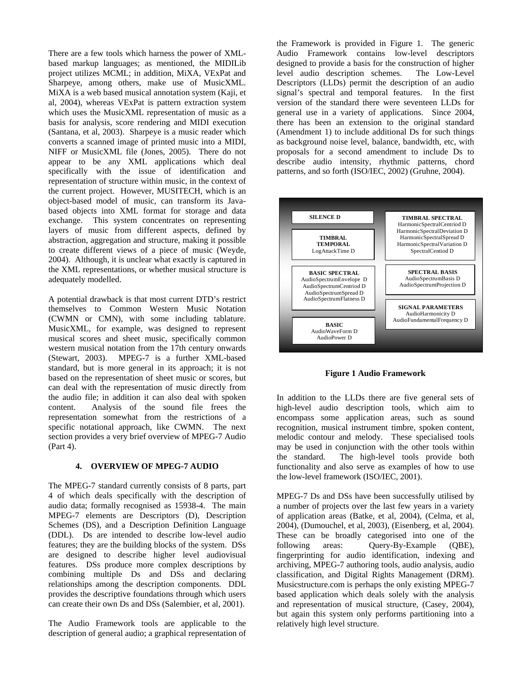There are a few tools which harness the power of XMLbased markup languages; as mentioned, the MIDILib project utilizes MCML; in addition, MiXA, VExPat and Sharpeye, among others, make use of MusicXML. MiXA is a web based musical annotation system (Kaji, et al, 2004), whereas VExPat is pattern extraction system which uses the MusicXML representation of music as a basis for analysis, score rendering and MIDI execution (Santana, et al, 2003). Sharpeye is a music reader which converts a scanned image of printed music into a MIDI, NIFF or MusicXML file (Jones, 2005). There do not appear to be any XML applications which deal specifically with the issue of identification and representation of structure within music, in the context of the current project. However, MUSITECH, which is an object-based model of music, can transform its Javabased objects into XML format for storage and data exchange. This system concentrates on representing layers of music from different aspects, defined by abstraction, aggregation and structure, making it possible to create different views of a piece of music (Weyde, 2004). Although, it is unclear what exactly is captured in the XML representations, or whether musical structure is adequately modelled.

A potential drawback is that most current DTD's restrict themselves to Common Western Music Notation (CWMN or CMN), with some including tablature. MusicXML, for example, was designed to represent musical scores and sheet music, specifically common western musical notation from the 17th century onwards (Stewart, 2003). MPEG-7 is a further XML-based standard, but is more general in its approach; it is not based on the representation of sheet music or scores, but can deal with the representation of music directly from the audio file; in addition it can also deal with spoken content. Analysis of the sound file frees the representation somewhat from the restrictions of a specific notational approach, like CWMN. The next section provides a very brief overview of MPEG-7 Audio (Part 4).

#### **4. OVERVIEW OF MPEG-7 AUDIO**

The MPEG-7 standard currently consists of 8 parts, part 4 of which deals specifically with the description of audio data; formally recognised as 15938-4. The main MPEG-7 elements are Descriptors (D), Description Schemes (DS), and a Description Definition Language (DDL). Ds are intended to describe low-level audio features; they are the building blocks of the system. DSs are designed to describe higher level audiovisual features. DSs produce more complex descriptions by combining multiple Ds and DSs and declaring relationships among the description components. DDL provides the descriptive foundations through which users can create their own Ds and DSs (Salembier, et al, 2001).

The Audio Framework tools are applicable to the description of general audio; a graphical representation of the Framework is provided in Figure 1. The generic Audio Framework contains low-level descriptors designed to provide a basis for the construction of higher level audio description schemes. The Low-Level Descriptors (LLDs) permit the description of an audio signal's spectral and temporal features. In the first version of the standard there were seventeen LLDs for general use in a variety of applications. Since 2004, there has been an extension to the original standard (Amendment 1) to include additional Ds for such things as background noise level, balance, bandwidth, etc, with proposals for a second amendment to include Ds to describe audio intensity, rhythmic patterns, chord patterns, and so forth (ISO/IEC, 2002) (Gruhne, 2004).



**Figure 1 Audio Framework** 

In addition to the LLDs there are five general sets of high-level audio description tools, which aim to encompass some application areas, such as sound recognition, musical instrument timbre, spoken content, melodic contour and melody. These specialised tools may be used in conjunction with the other tools within the standard. The high-level tools provide both functionality and also serve as examples of how to use the low-level framework (ISO/IEC, 2001).

MPEG-7 Ds and DSs have been successfully utilised by a number of projects over the last few years in a variety of application areas (Batke, et al, 2004), (Celma, et al, 2004), (Dumouchel, et al, 2003), (Eisenberg, et al, 2004). These can be broadly categorised into one of the following areas: Query-By-Example (QBE), fingerprinting for audio identification, indexing and archiving, MPEG-7 authoring tools, audio analysis, audio classification, and Digital Rights Management (DRM). Musicstructure.com is perhaps the only existing MPEG-7 based application which deals solely with the analysis and representation of musical structure, (Casey, 2004), but again this system only performs partitioning into a relatively high level structure.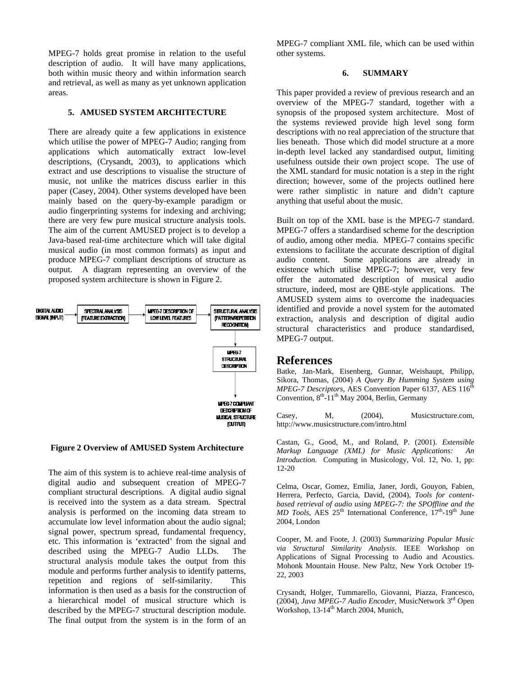MPEG-7 holds great promise in relation to the useful description of audio. It will have many applications, both within music theory and within information search and retrieval, as well as many as yet unknown application areas.

## **5. AMUSED SYSTEM ARCHITECTURE**

There are already quite a few applications in existence which utilise the power of MPEG-7 Audio; ranging from applications which automatically extract low-level descriptions, (Crysandt, 2003), to applications which extract and use descriptions to visualise the structure of music, not unlike the matrices discuss earlier in this paper (Casey, 2004). Other systems developed have been mainly based on the query-by-example paradigm or audio fingerprinting systems for indexing and archiving; there are very few pure musical structure analysis tools. The aim of the current AMUSED project is to develop a Java-based real-time architecture which will take digital musical audio (in most common formats) as input and produce MPEG-7 compliant descriptions of structure as output. A diagram representing an overview of the proposed system architecture is shown in Figure 2.



#### **Figure 2 Overview of AMUSED System Architecture**

The aim of this system is to achieve real-time analysis of digital audio and subsequent creation of MPEG-7 compliant structural descriptions. A digital audio signal is received into the system as a data stream. Spectral analysis is performed on the incoming data stream to accumulate low level information about the audio signal; signal power, spectrum spread, fundamental frequency, etc. This information is 'extracted' from the signal and described using the MPEG-7 Audio LLDs. The structural analysis module takes the output from this module and performs further analysis to identify patterns, repetition and regions of self-similarity. This information is then used as a basis for the construction of a hierarchical model of musical structure which is described by the MPEG-7 structural description module. The final output from the system is in the form of an MPEG-7 compliant XML file, which can be used within other systems.

#### **6. SUMMARY**

This paper provided a review of previous research and an overview of the MPEG-7 standard, together with a synopsis of the proposed system architecture. Most of the systems reviewed provide high level song form descriptions with no real appreciation of the structure that lies beneath. Those which did model structure at a more in-depth level lacked any standardised output, limiting usefulness outside their own project scope. The use of the XML standard for music notation is a step in the right direction; however, some of the projects outlined here were rather simplistic in nature and didn't capture anything that useful about the music.

Built on top of the XML base is the MPEG-7 standard. MPEG-7 offers a standardised scheme for the description of audio, among other media. MPEG-7 contains specific extensions to facilitate the accurate description of digital audio content. Some applications are already in existence which utilise MPEG-7; however, very few offer the automated description of musical audio structure, indeed, most are QBE-style applications. The AMUSED system aims to overcome the inadequacies identified and provide a novel system for the automated extraction, analysis and description of digital audio structural characteristics and produce standardised, MPEG-7 output.

# **References**

Batke, Jan-Mark, Eisenberg, Gunnar, Weishaupt, Philipp, Sikora, Thomas, (2004) *A Query By Humming System using MPEG-7 Descriptors*, AES Convention Paper 6137, AES 116<sup>th</sup> Convention,  $8<sup>th</sup>$ -11<sup>th</sup> May 2004, Berlin, Germany

Casey, M,  $(2004)$ , Musicstructure.com, http://www.musicstructure.com/intro.html

Castan, G., Good, M., and Roland, P. (2001). *Extensible Markup Language (XML) for Music Applications: An Introduction.* Computing in Musicology, Vol. 12, No. 1, pp: 12-20

Celma, Oscar, Gomez, Emilia, Janer, Jordi, Gouyon, Fabien, Herrera, Perfecto, Garcia, David, (2004), *Tools for contentbased retrieval of audio using MPEG-7: the SPOffline and the MD Tools*, AES 25<sup>th</sup> International Conference,  $17<sup>th</sup>$ -19<sup>th</sup> June 2004, London

Cooper, M. and Foote, J. (2003) *Summarizing Popular Music via Structural Similarity Analysis*. IEEE Workshop on Applications of Signal Processing to Audio and Acoustics. Mohonk Mountain House. New Paltz, New York October 19- 22, 2003

Crysandt, Holger, Tummarello, Giovanni, Piazza, Francesco, (2004), *Java MPEG-7 Audio Encoder*, MusicNetwork 3rd Open Workshop, 13-14<sup>th</sup> March 2004, Munich,